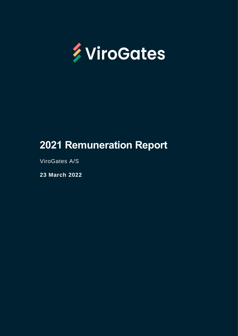

# **Remuneration Report**

ViroGates A/S

**March 2022**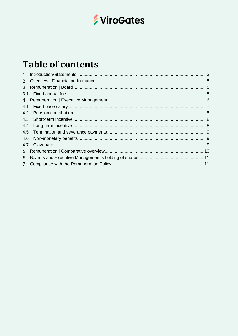

## **Table of contents**

| $\mathbf 1$    |  |
|----------------|--|
| 2 <sup>1</sup> |  |
| 3 <sup>1</sup> |  |
| 3.1            |  |
|                |  |
| 4.1            |  |
| 4.2            |  |
| 4.3            |  |
| 4.4            |  |
|                |  |
| 4.6            |  |
| 4.7            |  |
| 5              |  |
| 6              |  |
| 7 <sup>1</sup> |  |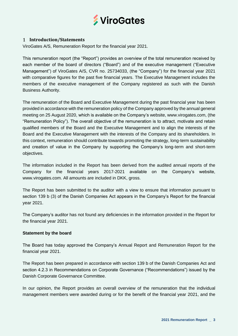

#### **Introduction/Statements**

ViroGates A/S, Remuneration Report for the financial year 2021.

This remuneration report (the "Report") provides an overview of the total remuneration received by each member of the board of directors ("Board") and of the executive management ("Executive Management") of ViroGates A/S, CVR no. 25734033, (the "Company") for the financial year 2021 with comparative figures for the past five financial years. The Executive Management includes the members of the executive management of the Company registered as such with the Danish Business Authority.

The remuneration of the Board and Executive Management during the past financial year has been provided in accordance with the remuneration policy of the Company approved by the annual general meeting on 25 August 2020, which is available on the Company's website, www.virogates.com, (the "Remuneration Policy"). The overall objective of the remuneration is to attract, motivate and retain qualified members of the Board and the Executive Management and to align the interests of the Board and the Executive Management with the interests of the Company and its shareholders. In this context, remuneration should contribute towards promoting the strategy, long-term sustainability and creation of value in the Company by supporting the Company's long-term and short-term objectives.

The information included in the Report has been derived from the audited annual reports of the Company for the financial years 2017-2021 available on the Company's website, www.virogates.com. All amounts are included in DKK, gross.

The Report has been submitted to the auditor with a view to ensure that information pursuant to section 139 b (3) of the Danish Companies Act appears in the Company's Report for the financial year 2021.

The Company's auditor has not found any deficiencies in the information provided in the Report for the financial year 2021.

#### **Statement by the board**

The Board has today approved the Company's Annual Report and Remuneration Report for the financial year 2021.

The Report has been prepared in accordance with section 139 b of the Danish Companies Act and section 4.2.3 in Recommendations on Corporate Governance ("Recommendations") issued by the Danish Corporate Governance Committee.

In our opinion, the Report provides an overall overview of the remuneration that the individual management members were awarded during or for the benefit of the financial year 2021, and the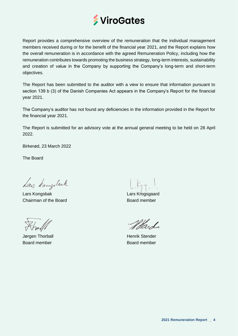

Report provides a comprehensive overview of the remuneration that the individual management members received during or for the benefit of the financial year 2021, and the Report explains how the overall remuneration is in accordance with the agreed Remuneration Policy, including how the remuneration contributes towards promoting the business strategy, long-term interests, sustainability and creation of value in the Company by supporting the Company's long-term and short-term objectives.

The Report has been submitted to the auditor with a view to ensure that information pursuant to section 139 b (3) of the Danish Companies Act appears in the Company's Report for the financial year 2021.

The Company's auditor has not found any deficiencies in the information provided in the Report for the financial year 2021.

The Report is submitted for an advisory vote at the annual general meeting to be held on 28 April 2022.

Birkerød, 23 March 2022

The Board

Las kongeleak

Lars Kongsbak Lars Krogsgaard Chairman of the Board **Board Chairman of the Board member** 

Jørgen Thorball Henrik Stender Board member Board member

Stad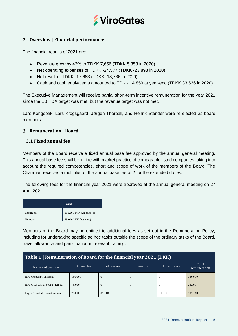

#### **Overview | Financial performance**

The financial results of 2021 are:

- Revenue grew by 43% to TDKK 7,656 (TDKK 5,353 in 2020)
- Net operating expenses of TDKK -24,577 (TDKK -23,898 in 2020)
- Net result of TDKK -17,663 (TDKK -18,736 in 2020)
- Cash and cash equivalents amounted to TDKK 14,859 at year-end (TDKK 33,526 in 2020)

The Executive Management will receive partial short-term incentive remuneration for the year 2021 since the EBITDA target was met, but the revenue target was not met.

Lars Kongsbak, Lars Krogsgaard, Jørgen Thorball, and Henrik Stender were re-elected as board members.

#### **Remuneration | Board**

#### **3.1 Fixed annual fee**

Members of the Board receive a fixed annual base fee approved by the annual general meeting. This annual base fee shall be in line with market practice of comparable listed companies taking into account the required competencies, effort and scope of work of the members of the Board. The Chairman receives a multiplier of the annual base fee of 2 for the extended duties.

The following fees for the financial year 2021 were approved at the annual general meeting on 27 April 2021:

|          | Board                     |
|----------|---------------------------|
| Chairman | 150,000 DKK (2x base fee) |
| Member   | 75,000 DKK (base fee)     |

Members of the Board may be entitled to additional fees as set out in the Remuneration Policy, including for undertaking specific ad hoc tasks outside the scope of the ordinary tasks of the Board, travel allowance and participation in relevant training.

| Table 1   Remuneration of Board for the financial year 2021 (DKK)                                        |         |                |          |        |         |  |  |  |  |
|----------------------------------------------------------------------------------------------------------|---------|----------------|----------|--------|---------|--|--|--|--|
| Total<br><b>Benefits</b><br>Ad hoc tasks<br>Annual fee<br>Allowance<br>Name and position<br>remuneration |         |                |          |        |         |  |  |  |  |
| Lars Kongsbak, Chairman                                                                                  | 150.000 | $\mathbf{0}$   | $\Omega$ | 0      | 150,000 |  |  |  |  |
| Lars Krogsgaard, Board member                                                                            | 75.000  | $\overline{0}$ |          | 0      | 75,000  |  |  |  |  |
| Jørgen Thorball, Board member                                                                            | 75.000  | 31,410         | $\Omega$ | 31,038 | 137,448 |  |  |  |  |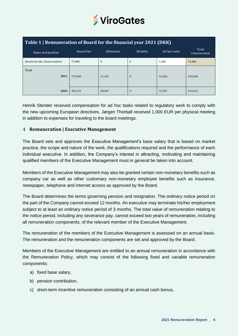

| Table 1   Remuneration of Board for the financial year 2021 (DKK) |            |           |                 |              |                       |  |  |  |  |
|-------------------------------------------------------------------|------------|-----------|-----------------|--------------|-----------------------|--|--|--|--|
| Name and position                                                 | Annual fee | Allowance | <b>Benefits</b> | Ad hoc tasks | Total<br>remuneration |  |  |  |  |
| Henrik Stender, Board member                                      | 75,000     | $\theta$  | $\mathbf{0}$    | 1,600        | 76,600                |  |  |  |  |
| Total<br>2021                                                     | 375,000    | 31,410    | $\mathbf{0}$    | 32,638       | 439,048               |  |  |  |  |
| 2020                                                              | 383,131    | 58,047    | $\mathbf{0}$    | 72,947       | 514,125               |  |  |  |  |

Henrik Stender received compensation for ad hoc tasks related to regulatory work to comply with the new upcoming European directives. Jørgen Thorball received 1,000 EUR per physical meeting in addition to expenses for traveling to the board meetings.

#### **Remuneration | Executive Management**

The Board sets and approves the Executive Management's base salary that is based on market practice, the scope and nature of the work, the qualifications required and the performance of each individual executive. In addition, the Company's interest in attracting, motivating and maintaining qualified members of the Executive Management must in general be taken into account.

Members of the Executive Management may also be granted certain non-monetary benefits such as company car as well as other customary non-monetary employee benefits such as insurance, newspaper, telephone and internet access as approved by the Board.

The Board determines the terms governing pension and resignation. The ordinary notice period on the part of the Company cannot exceed 12 months. An executive may terminate his/her employment subject to at least an ordinary notice period of 3 months. The total value of remuneration relating to the notice period, including any severance pay, cannot exceed two years of remuneration, including all remuneration components, of the relevant member of the Executive Management.

The remuneration of the members of the Executive Management is assessed on an annual basis. The remuneration and the remuneration components are set and approved by the Board.

Members of the Executive Management are entitled to an annual remuneration in accordance with the Remuneration Policy, which may consist of the following fixed and variable remuneration components:

- a) fixed base salary,
- b) pension contribution,
- c) short-term incentive remuneration consisting of an annual cash bonus,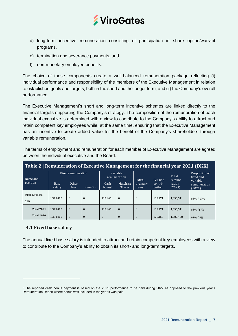

- d) long-term incentive remuneration consisting of participation in share option/warrant programs,
- e) termination and severance payments, and
- f) non-monetary employee benefits.

The choice of these components create a well-balanced remuneration package reflecting (i) individual performance and responsibility of the members of the Executive Management in relation to established goals and targets, both in the short and the longer term, and (ii) the Company's overall performance.

The Executive Management's short and long-term incentive schemes are linked directly to the financial targets supporting the Company's strategy. The composition of the remuneration of each individual executive is determined with a view to contribute to the Company's ability to attract and retain competent key employees while, at the same time, ensuring that the Executive Management has an incentive to create added value for the benefit of the Company's shareholders through variable remuneration.

The terms of employment and remuneration for each member of Executive Management are agreed between the individual executive and the Board.

| Table 2   Remuneration of Executive Management for the financial year 2021 (DKK) |                    |               |                 |                            |                           |                   |                   |                  |                                    |  |
|----------------------------------------------------------------------------------|--------------------|---------------|-----------------|----------------------------|---------------------------|-------------------|-------------------|------------------|------------------------------------|--|
| Name and                                                                         | Fixed remuneration |               |                 | Variable<br>remuneration   |                           | Extra-            | Pension           | Total<br>remune- | Proportion of<br>fixed and         |  |
| position                                                                         | Base<br>salary     | Other<br>fees | <b>Benefits</b> | Cash<br>bonus <sup>1</sup> | Matching<br><b>Shares</b> | ordinary<br>items | contri-<br>bution | ration<br>(2021) | variable<br>remuneration<br>(2021) |  |
| Jakob Knudsen,<br><b>CEO</b>                                                     | 1.379.400          | $\mathbf{0}$  | $\Omega$        | 137.940                    | $\Omega$                  | $\mathbf{0}$      | 139.171           | 1,656,511        | 83% / 17%                          |  |
| <b>Total 2021</b>                                                                | 1.379.400          | $\mathbf{0}$  | $\mathbf{0}$    | 137,940                    | $\mathbf{0}$              | $\mathbf{0}$      | 139,171           | 1,656,511        | 83% /17%                           |  |
| <b>Total 2020</b>                                                                | 1,254,000          | $\mathbf{0}$  | $\mathbf{0}$    | $\mathbf{0}$               | $\mathbf{0}$              | $\mathbf{0}$      | 126,458           | 1,380,458        | 91%/9%                             |  |

#### **4.1 Fixed base salary**

The annual fixed base salary is intended to attract and retain competent key employees with a view to contribute to the Company's ability to obtain its short- and long-term targets.

<sup>1</sup> The reported cash bonus payment is based on the 2021 performance to be paid during 2022 as opposed to the previous year's Remuneration Report where bonus was included in the year it was paid.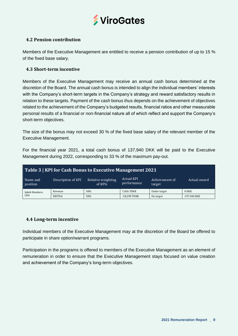

#### **4.2 Pension contribution**

Members of the Executive Management are entitled to receive a pension contribution of up to 15 % of the fixed base salary.

#### **4.3 Short-term incentive**

Members of the Executive Management may receive an annual cash bonus determined at the discretion of the Board. The annual cash bonus is intended to align the individual members' interests with the Company's short-term targets in the Company's strategy and reward satisfactory results in relation to these targets. Payment of the cash bonus thus depends on the achievement of objectives related to the achievement of the Company's budgeted results, financial ratios and other measurable personal results of a financial or non-financial nature all of which reflect and support the Company's short-term objectives.

The size of the bonus may not exceed 30 % of the fixed base salary of the relevant member of the Executive Management.

For the financial year 2021, a total cash bonus of 137,940 DKK will be paid to the Executive Management during 2022, corresponding to 33 % of the maximum pay-out.

| <b>Table 3   KPI for Cash Bonus to Executive Management 2021</b> |               |                               |                                  |                          |              |  |  |  |
|------------------------------------------------------------------|---------------|-------------------------------|----------------------------------|--------------------------|--------------|--|--|--|
| Name and<br>Description of KPI<br>position                       |               | Relative weighting<br>of KPIs | <b>Actual KPI</b><br>performance | Achievement of<br>target | Actual award |  |  |  |
| Jakob Knudsen,                                                   | Revenue       | 50%                           | 7.656 TDKK                       | Under target             | 0 DKK        |  |  |  |
| CEO                                                              | <b>EBITDA</b> | 50%                           | $-18.298$ TDKK                   | On target                | 137.940 DKK  |  |  |  |

#### **4.4 Long-term incentive**

Individual members of the Executive Management may at the discretion of the Board be offered to participate in share option/warrant programs.

Participation in the programs is offered to members of the Executive Management as an element of remuneration in order to ensure that the Executive Management stays focused on value creation and achievement of the Company's long-term objectives.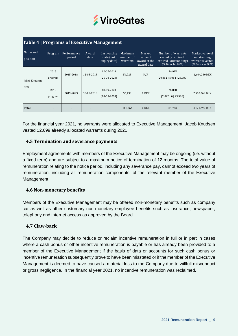

| <b>Table 4   Programs of Executive Management</b> |                 |                       |               |                                            |                                  |                                                  |                                                                                          |                                                                              |  |  |  |
|---------------------------------------------------|-----------------|-----------------------|---------------|--------------------------------------------|----------------------------------|--------------------------------------------------|------------------------------------------------------------------------------------------|------------------------------------------------------------------------------|--|--|--|
| Name and<br>position                              | Program         | Performance<br>period | Award<br>date | Last vesting<br>date (last<br>expiry date) | Maximum<br>number of<br>warrants | Market<br>value of<br>award at the<br>award date | Number of warrants<br>vested (exercised)<br>expired   outstanding]<br>(30 December 2021) | Market value of<br>outstanding<br>warrants vested<br>$(30$ December $2021$ ) |  |  |  |
| Jakob Knudsen,                                    | 2015<br>program | 2015-2018             | 12-08-2015    | 12-07-2018<br>$(21-08-2023)$               | 54,925                           | N/A                                              | 54,925<br>$(20,852 \mid 5,084 \mid 28,989)$                                              | 1,604,230 DKK                                                                |  |  |  |
| CEO                                               | 2019<br>program | 2019-2023             | 18-09-2019    | 18-09-2023<br>$(18-09-2028)$               | 56,439                           | 0 DKK                                            | 26,808<br>(2,822   0   23,986)                                                           | 2,567,069 DKK                                                                |  |  |  |
| <b>Total</b>                                      |                 |                       |               |                                            | 111,364                          | 0 DKK                                            | 81,733                                                                                   | 4,171,299 DKK                                                                |  |  |  |

For the financial year 2021, no warrants were allocated to Executive Management. Jacob Knudsen vested 12,699 already allocated warrants during 2021.

#### **4.5 Termination and severance payments**

Employment agreements with members of the Executive Management may be ongoing (i.e. without a fixed term) and are subject to a maximum notice of termination of 12 months. The total value of remuneration relating to the notice period, including any severance pay, cannot exceed two years of remuneration, including all remuneration components, of the relevant member of the Executive Management.

#### **4.6 Non-monetary benefits**

Members of the Executive Management may be offered non-monetary benefits such as company car as well as other customary non-monetary employee benefits such as insurance, newspaper, telephony and internet access as approved by the Board.

#### **4.7 Claw-back**

The Company may decide to reduce or reclaim incentive remuneration in full or in part in cases where a cash bonus or other incentive remuneration is payable or has already been provided to a member of the Executive Management if the basis of data or accounts for such cash bonus or incentive remuneration subsequently prove to have been misstated or if the member of the Executive Management is deemed to have caused a material loss to the Company due to willfull misconduct or gross negligence. In the financial year 2021, no incentive remuneration was reclaimed.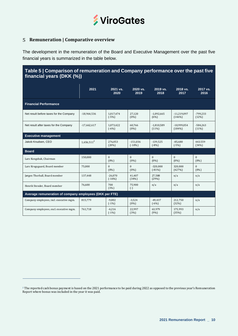

#### **Remuneration | Comparative overview**

The development in the remuneration of the Board and Executive Management over the past five financial years is summarized in the table below.

**Table 5 | Comparison of remuneration and Company performance over the past five financial years (DKK (%))**

|                                                         | 2021                   | 2021 vs.<br>2020        | 2020 vs.<br>2019        | 2019 vs.<br>2018         | 2018 vs.<br>2017        | 2017 vs.<br>2016        |
|---------------------------------------------------------|------------------------|-------------------------|-------------------------|--------------------------|-------------------------|-------------------------|
| <b>Financial Performance</b>                            |                        |                         |                         |                          |                         |                         |
| Net result before taxes for the Company                 | $-18,964,536$          | 1,017,474<br>$(-5%)$    | 27,120<br>$(0\%)$       | $-1,092,665$<br>(6%)     | $-11,219,097$<br>(146%) | $-799,233$<br>(12%)     |
| Net result after taxes for the Company                  | $-17,662,617$          | 1,073,422<br>$(-6%)$    | 60,766<br>$(0\%)$       | $-1,810,589$<br>$(11\%)$ | $-10,999,054$<br>(184%) | $-584,263$<br>(11%)     |
| <b>Executive management</b>                             |                        |                         |                         |                          |                         |                         |
| Jakob Knudsen, CEO                                      | 1.656.511 <sup>2</sup> | 276,053<br>(20%)        | $-151,036$<br>$(-10\%)$ | $-139,525$<br>$(-8%)$    | $-85,680$<br>$(-5%)$    | 443.559<br>(34%)        |
| <b>Board</b>                                            |                        |                         |                         |                          |                         |                         |
| Lars Kongsbak, Chairman                                 | 150,000                | $\mathbf{0}$<br>$(0\%)$ | $\Omega$<br>$(0\%)$     | $\mathbf{0}$<br>$(0\%)$  | $\Omega$<br>$(0\%)$     | $\mathbf{0}$<br>$(0\%)$ |
| Lars Krogsgaard, Board member                           | 75,000                 | $\Omega$<br>$(0\%)$     | $\Omega$<br>$(0\%)$     | $-320,000$<br>$(-81%)$   | 320,000<br>(427%)       | $\Omega$<br>$(0\%)$     |
| Jørgen Thorball, Board member                           | 137,448                | $-26.070$<br>$(-16%)$   | 41,407<br>(34%)         | 27,588<br>(29%)          | n/a                     | n/a                     |
| Henrik Stender, Board member                            | 76,600                 | 700<br>(1%)             | 75,900<br>$(\cdot)$     | n/a                      | n/a                     | n/a                     |
| Average remuneration of company employees (DKK per FTE) |                        |                         |                         |                          |                         |                         |
| Company employees, incl. executive mgm.                 | 815,779                | $-9.002$<br>$(-1%)$     | $-3,524$<br>$(0\%)$     | $-49,437$<br>$(-6%)$     | 212,750<br>(32%)        | n/a                     |
| Company employees, excl. executive mgm.                 | 761.718                | $-4,216$<br>$(-1%)$     | 22,997<br>(3%)          | 63,979<br>(9%)           | 175,993<br>(35%)        | n/a                     |

<sup>&</sup>lt;sup>2</sup> The reported cash bonus payment is based on the 2021 performance to be paid during 2022 as opposed to the previous year's Remuneration Report where bonus was included in the year it was paid.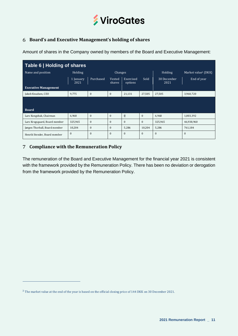

#### **Board's and Executive Management's holding of shares**

Amount of shares in the Company owned by members of the Board and Executive Management:

| Table 6   Holding of shares   |                   |                  |                  |                      |              |                     |                                 |  |  |
|-------------------------------|-------------------|------------------|------------------|----------------------|--------------|---------------------|---------------------------------|--|--|
| Name and position             | Holding           |                  | Changes          |                      |              |                     | Market value <sup>3</sup> (DKK) |  |  |
|                               | 1 January<br>2021 | Purchased        | Vested<br>shares | Exercised<br>options | Sold         | 30 December<br>2021 | End of year                     |  |  |
| <b>Executive Management</b>   |                   |                  |                  |                      |              |                     |                                 |  |  |
| Jakob Knudsen, CEO            | 9,775             | $\mathbf{0}$     | $\mathbf{0}$     | 21,131               | 27,505       | 27,505              | 3,960,720                       |  |  |
|                               |                   |                  |                  |                      |              |                     |                                 |  |  |
| <b>Board</b>                  |                   |                  |                  |                      |              |                     |                                 |  |  |
| Lars Kongsbak, Chairman       | 6,968             | $\boldsymbol{0}$ | $\mathbf{0}$     | $\overline{0}$       | $\mathbf{0}$ | 6,968               | 1,003,392                       |  |  |
| Lars Krogsgaard, Board member | 325,965           | $\mathbf{0}$     | $\mathbf{0}$     | $\Omega$             | $\Omega$     | 325,965             | 46,938,960                      |  |  |
| Jørgen Thorball, Board member | 10,204            | $\mathbf{0}$     | $\mathbf{0}$     | 5,286                | 10,204       | 5,286               | 761,184                         |  |  |
| Henrik Stender, Board member  | $\Omega$          | $\mathbf{0}$     | $\mathbf{0}$     | $\mathbf{0}$         | $\mathbf{0}$ | $\mathbf{0}$        | 0                               |  |  |

#### **Compliance with the Remuneration Policy**

The remuneration of the Board and Executive Management for the financial year 2021 is consistent with the framework provided by the Remuneration Policy. There has been no deviation or derogation from the framework provided by the Remuneration Policy.

<sup>3</sup> The market value at the end of the year is based on the official closing price of 144 DKK on 30 December 2021.